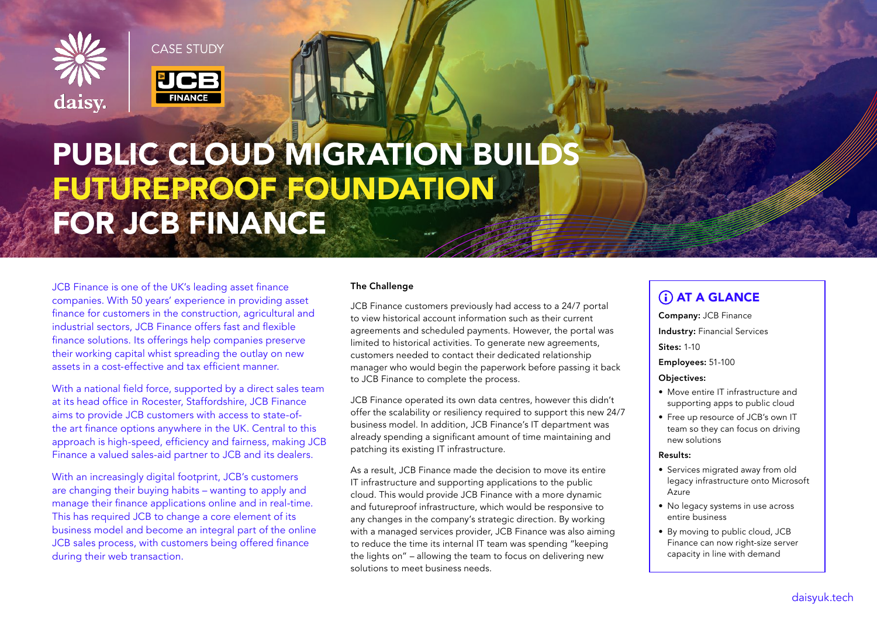

**CASE STUDY** 



# PUBLIC CLOUD MIGRATION BUILDS FUTUREPROOF FOUNDATION FOR JCB FINANCE

JCB Finance is one of the UK's leading asset finance companies. With 50 years' experience in providing asset finance for customers in the construction, agricultural and industrial sectors, JCB Finance offers fast and flexible finance solutions. Its offerings help companies preserve their working capital whist spreading the outlay on new assets in a cost-effective and tax efficient manner.

With a national field force, supported by a direct sales team at its head office in Rocester, Staffordshire, JCB Finance aims to provide JCB customers with access to state-ofthe art finance options anywhere in the UK. Central to this approach is high-speed, efficiency and fairness, making JCB Finance a valued sales-aid partner to JCB and its dealers.

With an increasingly digital footprint, JCB's customers are changing their buying habits – wanting to apply and manage their finance applications online and in real-time. This has required JCB to change a core element of its business model and become an integral part of the online JCB sales process, with customers being offered finance during their web transaction.

# The Challenge

JCB Finance customers previously had access to a 24/7 portal to view historical account information such as their current agreements and scheduled payments. However, the portal was limited to historical activities. To generate new agreements, customers needed to contact their dedicated relationship manager who would begin the paperwork before passing it back to JCB Finance to complete the process.

JCB Finance operated its own data centres, however this didn't offer the scalability or resiliency required to support this new 24/7 business model. In addition, JCB Finance's IT department was already spending a significant amount of time maintaining and patching its existing IT infrastructure.

As a result, JCB Finance made the decision to move its entire IT infrastructure and supporting applications to the public cloud. This would provide JCB Finance with a more dynamic and futureproof infrastructure, which would be responsive to any changes in the company's strategic direction. By working with a managed services provider, JCB Finance was also aiming to reduce the time its internal IT team was spending "keeping the lights on" – allowing the team to focus on delivering new solutions to meet business needs.

# (i) AT A GLANCE

Company: JCB Finance Industry: Financial Services Sites: 1-10

Employees: 51-100

Objectives:

- Move entire IT infrastructure and supporting apps to public cloud
- Free up resource of JCB's own IT team so they can focus on driving new solutions

#### Results:

- Services migrated away from old legacy infrastructure onto Microsoft Azure
- No legacy systems in use across entire business
- By moving to public cloud, JCB Finance can now right-size server capacity in line with demand